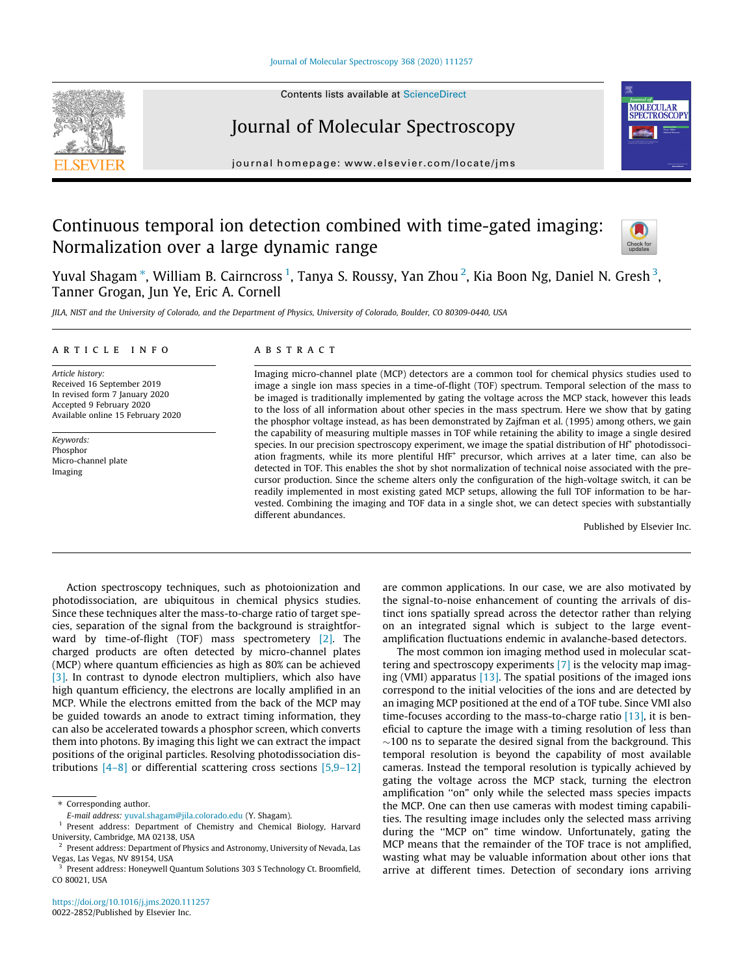#### [Journal of Molecular Spectroscopy 368 \(2020\) 111257](https://doi.org/10.1016/j.jms.2020.111257)



## Journal of Molecular Spectroscopy

journal homepage: [www.elsevier.com/locate/jms](http://www.elsevier.com/locate/jms)

# Continuous temporal ion detection combined with time-gated imaging: Normalization over a large dynamic range



**MOLECULAR** SPECTROSCOPY

Yuval Shagam \*, William B. Cairncross <sup>1</sup>, Tanya S. Roussy, Yan Zhou <sup>2</sup>, Kia Boon Ng, Daniel N. Gresh <sup>3</sup>, Tanner Grogan, Jun Ye, Eric A. Cornell

JILA, NIST and the University of Colorado, and the Department of Physics, University of Colorado, Boulder, CO 80309-0440, USA

#### article info

Article history: Received 16 September 2019 In revised form 7 January 2020 Accepted 9 February 2020 Available online 15 February 2020

Keywords: Phosphor Micro-channel plate Imaging

#### A B S T R A C T

Imaging micro-channel plate (MCP) detectors are a common tool for chemical physics studies used to image a single ion mass species in a time-of-flight (TOF) spectrum. Temporal selection of the mass to be imaged is traditionally implemented by gating the voltage across the MCP stack, however this leads to the loss of all information about other species in the mass spectrum. Here we show that by gating the phosphor voltage instead, as has been demonstrated by Zajfman et al. (1995) among others, we gain the capability of measuring multiple masses in TOF while retaining the ability to image a single desired species. In our precision spectroscopy experiment, we image the spatial distribution of Hf<sup>+</sup> photodissoci-ation fragments, while its more plentiful HfF<sup>+</sup> precursor, which arrives at a later time, can also be detected in TOF. This enables the shot by shot normalization of technical noise associated with the precursor production. Since the scheme alters only the configuration of the high-voltage switch, it can be readily implemented in most existing gated MCP setups, allowing the full TOF information to be harvested. Combining the imaging and TOF data in a single shot, we can detect species with substantially different abundances.

Published by Elsevier Inc.

Action spectroscopy techniques, such as photoionization and photodissociation, are ubiquitous in chemical physics studies. Since these techniques alter the mass-to-charge ratio of target species, separation of the signal from the background is straightforward by time-of-flight (TOF) mass spectrometery [\[2\].](#page-2-0) The charged products are often detected by micro-channel plates (MCP) where quantum efficiencies as high as 80% can be achieved [\[3\]](#page-2-0). In contrast to dynode electron multipliers, which also have high quantum efficiency, the electrons are locally amplified in an MCP. While the electrons emitted from the back of the MCP may be guided towards an anode to extract timing information, they can also be accelerated towards a phosphor screen, which converts them into photons. By imaging this light we can extract the impact positions of the original particles. Resolving photodissociation distributions  $[4-8]$  or differential scattering cross sections  $[5,9-12]$  are common applications. In our case, we are also motivated by the signal-to-noise enhancement of counting the arrivals of distinct ions spatially spread across the detector rather than relying on an integrated signal which is subject to the large eventamplification fluctuations endemic in avalanche-based detectors.

The most common ion imaging method used in molecular scattering and spectroscopy experiments [\[7\]](#page-2-0) is the velocity map imaging (VMI) apparatus [\[13\].](#page-2-0) The spatial positions of the imaged ions correspond to the initial velocities of the ions and are detected by an imaging MCP positioned at the end of a TOF tube. Since VMI also time-focuses according to the mass-to-charge ratio [\[13\],](#page-2-0) it is beneficial to capture the image with a timing resolution of less than  $\sim$ 100 ns to separate the desired signal from the background. This temporal resolution is beyond the capability of most available cameras. Instead the temporal resolution is typically achieved by gating the voltage across the MCP stack, turning the electron amplification "on" only while the selected mass species impacts the MCP. One can then use cameras with modest timing capabilities. The resulting image includes only the selected mass arriving during the ''MCP on" time window. Unfortunately, gating the MCP means that the remainder of the TOF trace is not amplified, wasting what may be valuable information about other ions that arrive at different times. Detection of secondary ions arriving

<sup>\*</sup> Corresponding author.

E-mail address: [yuval.shagam@jila.colorado.edu](mailto:yuval.shagam@jila.colorado.edu) (Y. Shagam).

Present address: Department of Chemistry and Chemical Biology, Harvard University, Cambridge, MA 02138, USA

Present address: Department of Physics and Astronomy, University of Nevada, Las Vegas, Las Vegas, NV 89154, USA

<sup>3</sup> Present address: Honeywell Quantum Solutions 303 S Technology Ct. Broomfield, CO 80021, USA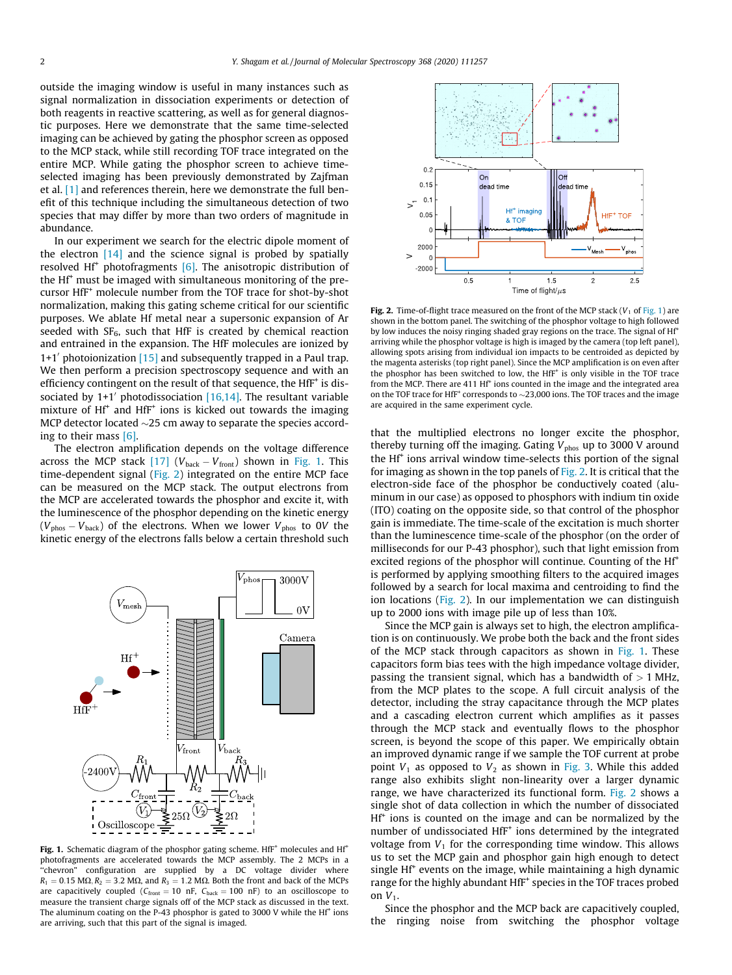<span id="page-1-0"></span>outside the imaging window is useful in many instances such as signal normalization in dissociation experiments or detection of both reagents in reactive scattering, as well as for general diagnostic purposes. Here we demonstrate that the same time-selected imaging can be achieved by gating the phosphor screen as opposed to the MCP stack, while still recording TOF trace integrated on the entire MCP. While gating the phosphor screen to achieve timeselected imaging has been previously demonstrated by Zajfman et al. [\[1\]](#page-2-0) and references therein, here we demonstrate the full benefit of this technique including the simultaneous detection of two species that may differ by more than two orders of magnitude in abundance.

In our experiment we search for the electric dipole moment of the electron [\[14\]](#page-2-0) and the science signal is probed by spatially resolved Hf<sup>+</sup> photofragments  $[6]$ . The anisotropic distribution of the Hf<sup>+</sup> must be imaged with simultaneous monitoring of the precursor HfF<sup>+</sup> molecule number from the TOF trace for shot-by-shot normalization, making this gating scheme critical for our scientific purposes. We ablate Hf metal near a supersonic expansion of Ar seeded with  $SF_6$ , such that HfF is created by chemical reaction and entrained in the expansion. The HfF molecules are ionized by  $1+1'$  photoionization [\[15\]](#page-2-0) and subsequently trapped in a Paul trap. We then perform a precision spectroscopy sequence and with an efficiency contingent on the result of that sequence, the  $HfF^+$  is dissociated by  $1+1'$  photodissociation [\[16,14\].](#page-2-0) The resultant variable mixture of Hf<sup>+</sup> and HfF<sup>+</sup> ions is kicked out towards the imaging MCP detector located  $\sim$ 25 cm away to separate the species according to their mass [\[6\].](#page-2-0)

The electron amplification depends on the voltage difference across the MCP stack [\[17\]](#page-2-0) ( $V_{\text{back}} - V_{\text{front}}$ ) shown in Fig. 1. This time-dependent signal (Fig. 2) integrated on the entire MCP face can be measured on the MCP stack. The output electrons from the MCP are accelerated towards the phosphor and excite it, with the luminescence of the phosphor depending on the kinetic energy  $(V_{\text{phos}} - V_{\text{back}})$  of the electrons. When we lower  $V_{\text{phos}}$  to 0V the kinetic energy of the electrons falls below a certain threshold such



Fig. 1. Schematic diagram of the phosphor gating scheme. HfF<sup>+</sup> molecules and Hf<sup>+</sup> photofragments are accelerated towards the MCP assembly. The 2 MCPs in a "chevron" configuration are supplied by a DC voltage divider where  $R_1 = 0.15$  M $\Omega$ ,  $R_2 = 3.2$  M $\Omega$ , and  $R_3 = 1.2$  M $\Omega$ . Both the front and back of the MCPs are capacitively coupled ( $C_{\text{front}} = 10 \text{ nF}$ ,  $C_{\text{back}} = 100 \text{ nF}$ ) to an oscilloscope to measure the transient charge signals off of the MCP stack as discussed in the text. The aluminum coating on the P-43 phosphor is gated to 3000 V while the Hf<sup>+</sup> ions are arriving, such that this part of the signal is imaged.



Fig. 2. Time-of-flight trace measured on the front of the MCP stack  $(V_1$  of Fig. 1) are shown in the bottom panel. The switching of the phosphor voltage to high followed by low induces the noisy ringing shaded gray regions on the trace. The signal of Hf<sup>+</sup> arriving while the phosphor voltage is high is imaged by the camera (top left panel), allowing spots arising from individual ion impacts to be centroided as depicted by the magenta asterisks (top right panel). Since the MCP amplification is on even after the phosphor has been switched to low, the HfF<sup>+</sup> is only visible in the TOF trace from the MCP. There are 411 Hf<sup>+</sup> ions counted in the image and the integrated area on the TOF trace for HfF<sup>+</sup> corresponds to  $\sim$ 23,000 ions. The TOF traces and the image are acquired in the same experiment cycle.

that the multiplied electrons no longer excite the phosphor, thereby turning off the imaging. Gating  $V_{\text{phos}}$  up to 3000 V around the Hf<sup>+</sup> ions arrival window time-selects this portion of the signal for imaging as shown in the top panels of Fig. 2. It is critical that the electron-side face of the phosphor be conductively coated (aluminum in our case) as opposed to phosphors with indium tin oxide (ITO) coating on the opposite side, so that control of the phosphor gain is immediate. The time-scale of the excitation is much shorter than the luminescence time-scale of the phosphor (on the order of milliseconds for our P-43 phosphor), such that light emission from excited regions of the phosphor will continue. Counting of the Hf<sup>+</sup> is performed by applying smoothing filters to the acquired images followed by a search for local maxima and centroiding to find the ion locations (Fig. 2). In our implementation we can distinguish up to 2000 ions with image pile up of less than 10%.

Since the MCP gain is always set to high, the electron amplification is on continuously. We probe both the back and the front sides of the MCP stack through capacitors as shown in  $Fig. 1$ . These capacitors form bias tees with the high impedance voltage divider, passing the transient signal, which has a bandwidth of  $> 1$  MHz, from the MCP plates to the scope. A full circuit analysis of the detector, including the stray capacitance through the MCP plates and a cascading electron current which amplifies as it passes through the MCP stack and eventually flows to the phosphor screen, is beyond the scope of this paper. We empirically obtain an improved dynamic range if we sample the TOF current at probe point  $V_1$  as opposed to  $V_2$  as shown in [Fig. 3.](#page-2-0) While this added range also exhibits slight non-linearity over a larger dynamic range, we have characterized its functional form. Fig. 2 shows a single shot of data collection in which the number of dissociated  $Hf<sup>+</sup>$  ions is counted on the image and can be normalized by the number of undissociated HfF<sup>+</sup> ions determined by the integrated voltage from  $V_1$  for the corresponding time window. This allows us to set the MCP gain and phosphor gain high enough to detect single  $Hf^+$  events on the image, while maintaining a high dynamic range for the highly abundant HfF<sup>+</sup> species in the TOF traces probed on  $V_1$ .

Since the phosphor and the MCP back are capacitively coupled, the ringing noise from switching the phosphor voltage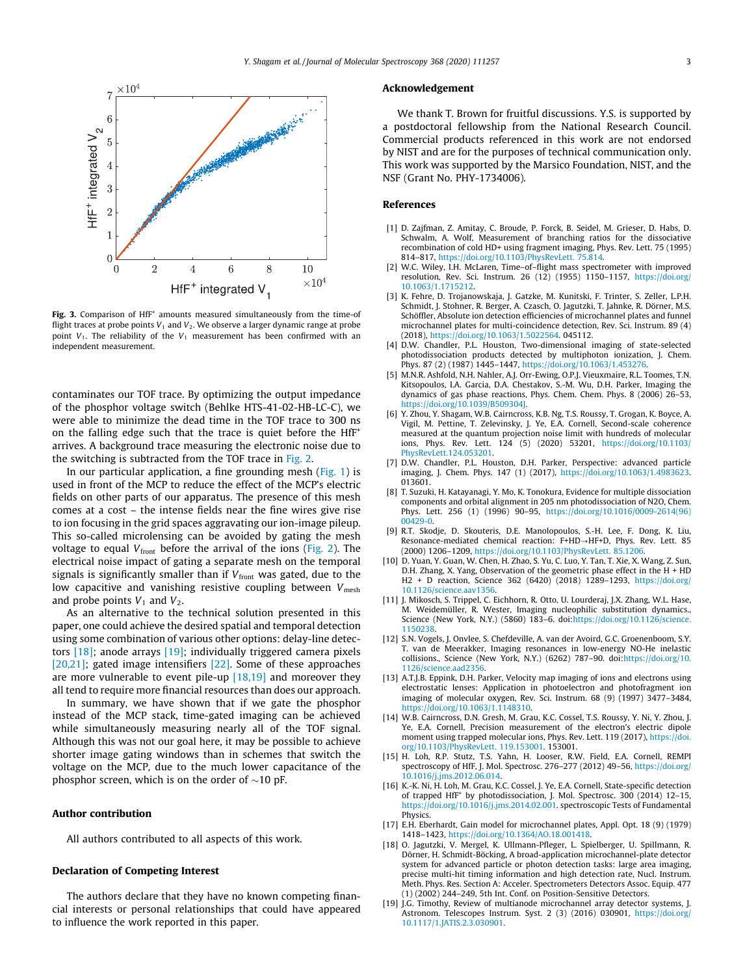<span id="page-2-0"></span>

Fig. 3. Comparison of  $Hff^+$  amounts measured simultaneously from the time-of flight traces at probe points  $V_1$  and  $V_2$ . We observe a larger dynamic range at probe point  $V_1$ . The reliability of the  $V_1$  measurement has been confirmed with an independent measurement.

contaminates our TOF trace. By optimizing the output impedance of the phosphor voltage switch (Behlke HTS-41-02-HB-LC-C), we were able to minimize the dead time in the TOF trace to 300 ns on the falling edge such that the trace is quiet before the HfF<sup>+</sup> arrives. A background trace measuring the electronic noise due to the switching is subtracted from the TOF trace in [Fig. 2](#page-1-0).

In our particular application, a fine grounding mesh ([Fig. 1](#page-1-0)) is used in front of the MCP to reduce the effect of the MCP's electric fields on other parts of our apparatus. The presence of this mesh comes at a cost – the intense fields near the fine wires give rise to ion focusing in the grid spaces aggravating our ion-image pileup. This so-called microlensing can be avoided by gating the mesh voltage to equal  $V_{front}$  before the arrival of the ions [\(Fig. 2](#page-1-0)). The electrical noise impact of gating a separate mesh on the temporal signals is significantly smaller than if  $V_{front}$  was gated, due to the low capacitive and vanishing resistive coupling between  $V_{\text{mesh}}$ and probe points  $V_1$  and  $V_2$ .

As an alternative to the technical solution presented in this paper, one could achieve the desired spatial and temporal detection using some combination of various other options: delay-line detectors [18]; anode arrays [19]; individually triggered camera pixels [\[20,21\]](#page-3-0); gated image intensifiers [\[22\]](#page-3-0). Some of these approaches are more vulnerable to event pile-up [18,19] and moreover they all tend to require more financial resources than does our approach.

In summary, we have shown that if we gate the phosphor instead of the MCP stack, time-gated imaging can be achieved while simultaneously measuring nearly all of the TOF signal. Although this was not our goal here, it may be possible to achieve shorter image gating windows than in schemes that switch the voltage on the MCP, due to the much lower capacitance of the phosphor screen, which is on the order of  $\sim$ 10 pF.

#### Author contribution

All authors contributed to all aspects of this work.

## Declaration of Competing Interest

The authors declare that they have no known competing financial interests or personal relationships that could have appeared to influence the work reported in this paper.

### Acknowledgement

We thank T. Brown for fruitful discussions. Y.S. is supported by a postdoctoral fellowship from the National Research Council. Commercial products referenced in this work are not endorsed by NIST and are for the purposes of technical communication only. This work was supported by the Marsico Foundation, NIST, and the NSF (Grant No. PHY-1734006).

#### References

- [1] D. Zajfman, Z. Amitay, C. Broude, P. Forck, B. Seidel, M. Grieser, D. Habs, D. Schwalm, A. Wolf, Measurement of branching ratios for the dissociative recombination of cold HD+ using fragment imaging, Phys. Rev. Lett. 75 (1995) 814–817, [https://doi.org/10.1103/PhysRevLett. 75.814.](https://doi.org/10.1103/PhysRevLett.75.814)
- [2] W.C. Wiley, I.H. McLaren, Time–of–flight mass spectrometer with improved resolution, Rev. Sci. Instrum. 26 (12) (1955) 1150–1157, [https://doi.org/](https://doi.org/10.1063/1.1715212) [10.1063/1.1715212](https://doi.org/10.1063/1.1715212).
- [3] K. Fehre, D. Trojanowskaja, J. Gatzke, M. Kunitski, F. Trinter, S. Zeller, L.P.H. Schmidt, J. Stohner, R. Berger, A. Czasch, O. Jagutzki, T. Jahnke, R. Dörner, M.S. Schöffler, Absolute ion detection efficiencies of microchannel plates and funnel microchannel plates for multi-coincidence detection, Rev. Sci. Instrum. 89 (4) (2018), [https://doi.org/10.1063/1.5022564.](https://doi.org/10.1063/1.5022564) 045112.
- [4] D.W. Chandler, P.L. Houston, Two-dimensional imaging of state-selected photodissociation products detected by multiphoton ionization, J. Chem. Phys. 87 (2) (1987) 1445–1447, [https://doi.org/10.1063/1.453276.](https://doi.org/10.1063/1.453276)
- [5] M.N.R. Ashfold, N.H. Nahler, A.J. Orr-Ewing, O.P.J. Vieuxmaire, R.L. Toomes, T.N. Kitsopoulos, I.A. Garcia, D.A. Chestakov, S.-M. Wu, D.H. Parker, Imaging the dynamics of gas phase reactions, Phys. Chem. Chem. Phys. 8 (2006) 26–53, [https://doi.org/10.1039/B509304J.](https://doi.org/10.1039/B509304J)
- [6] Y. Zhou, Y. Shagam, W.B. Cairncross, K.B. Ng, T.S. Roussy, T. Grogan, K. Boyce, A. Vigil, M. Pettine, T. Zelevinsky, J. Ye, E.A. Cornell, Second-scale coherence measured at the quantum projection noise limit with hundreds of molecular ions, Phys. Rev. Lett. 124 (5) (2020) 53201, [https://doi.org/10.1103/](https://doi.org/10.1103/PhysRevLett.124.053201) [PhysRevLett.124.053201.](https://doi.org/10.1103/PhysRevLett.124.053201)
- [7] D.W. Chandler, P.L. Houston, D.H. Parker, Perspective: advanced particle imaging, J. Chem. Phys. 147 (1) (2017), [https://doi.org/10.1063/1.4983623.](https://doi.org/10.1063/1.4983623) 013601.
- [8] T. Suzuki, H. Katayanagi, Y. Mo, K. Tonokura, Evidence for multiple dissociation components and orbital alignment in 205 nm photodissociation of N2O, Chem. Phys. Lett. 256 (1) (1996) 90–95, [https://doi.org/10.1016/0009-2614\(96\)](https://doi.org/10.1016/0009-2614(96)00429-0) [00429-0.](https://doi.org/10.1016/0009-2614(96)00429-0)
- [9] R.T. Skodje, D. Skouteris, D.E. Manolopoulos, S.-H. Lee, F. Dong, K. Liu, Resonance-mediated chemical reaction: F+HD→HF+D, Phys. Rev. Lett. 85 (2000) 1206–1209, [https://doi.org/10.1103/PhysRevLett. 85.1206.](https://doi.org/10.1103/PhysRevLett.85.1206)
- [10] D. Yuan, Y. Guan, W. Chen, H. Zhao, S. Yu, C. Luo, Y. Tan, T. Xie, X. Wang, Z. Sun, D.H. Zhang, X. Yang, Observation of the geometric phase effect in the H + HD H2 + D reaction, Science 362 (6420) (2018) 1289–1293, [https://doi.org/](https://doi.org/10.1126/science.aav1356) [10.1126/science.aav1356.](https://doi.org/10.1126/science.aav1356)
- [11] J. Mikosch, S. Trippel, C. Eichhorn, R. Otto, U. Lourderaj, J.X. Zhang, W.L. Hase, M. Weidemüller, R. Wester, Imaging nucleophilic substitution dynamics., Science (New York, N.Y.) (5860) 183–6. doi[:https://doi.org/10.1126/science.](https://doi.org/10.1126/science.1150238) [1150238.](https://doi.org/10.1126/science.1150238)
- [12] S.N. Vogels, J. Onvlee, S. Chefdeville, A. van der Avoird, G.C. Groenenboom, S.Y. T. van de Meerakker, Imaging resonances in low-energy NO-He inelastic collisions., Science (New York, N.Y.) (6262) 787–90. doi[:https://doi.org/10.](https://doi.org/10.1126/science.aad2356) [1126/science.aad2356](https://doi.org/10.1126/science.aad2356).
- [13] A.T.J.B. Eppink, D.H. Parker, Velocity map imaging of ions and electrons using electrostatic lenses: Application in photoelectron and photofragment ion imaging of molecular oxygen, Rev. Sci. Instrum. 68 (9) (1997) 3477–3484, [https://doi.org/10.1063/1.1148310.](https://doi.org/10.1063/1.1148310)
- [14] W.B. Cairncross, D.N. Gresh, M. Grau, K.C. Cossel, T.S. Roussy, Y. Ni, Y. Zhou, J. Ye, E.A. Cornell, Precision measurement of the electron's electric dipole moment using trapped molecular ions, Phys. Rev. Lett. 119 (2017), [https://doi.](https://doi.org/10.1103/PhysRevLett.119.153001) [org/10.1103/PhysRevLett. 119.153001](https://doi.org/10.1103/PhysRevLett.119.153001). 153001.
- [15] H. Loh, R.P. Stutz, T.S. Yahn, H. Looser, R.W. Field, E.A. Cornell, REMPI spectroscopy of HfF, J. Mol. Spectrosc. 276-277 (2012) 49-56, [https://doi.org/](https://doi.org/10.1016/j.jms.2012.06.014) [10.1016/j.jms.2012.06.014](https://doi.org/10.1016/j.jms.2012.06.014).
- [16] K.-K. Ni, H. Loh, M. Grau, K.C. Cossel, J. Ye, E.A. Cornell, State-specific detection of trapped HfF<sup>+</sup> by photodissociation, J. Mol. Spectrosc. 300 (2014) 12-15, <https://doi.org/10.1016/j.jms.2014.02.001>. spectroscopic Tests of Fundamental Physics.
- [17] E.H. Eberhardt, Gain model for microchannel plates, Appl. Opt. 18 (9) (1979) 1418–1423, <https://doi.org/10.1364/AO.18.001418>.
- [18] O. Jagutzki, V. Mergel, K. Ullmann-Pfleger, L. Spielberger, U. Spillmann, R. Dörner, H. Schmidt-Böcking, A broad-application microchannel-plate detector system for advanced particle or photon detection tasks: large area imaging, precise multi-hit timing information and high detection rate, Nucl. Instrum. Meth. Phys. Res. Section A: Acceler. Spectrometers Detectors Assoc. Equip. 477 (1) (2002) 244–249, 5th Int. Conf. on Position-Sensitive Detectors.
- [19] J.G. Timothy, Review of multianode microchannel array detector systems, J. Astronom. Telescopes Instrum. Syst. 2 (3) (2016) 030901, [https://doi.org/](https://doi.org/10.1117/1.JATIS.2.3.030901) [10.1117/1.JATIS.2.3.030901.](https://doi.org/10.1117/1.JATIS.2.3.030901)